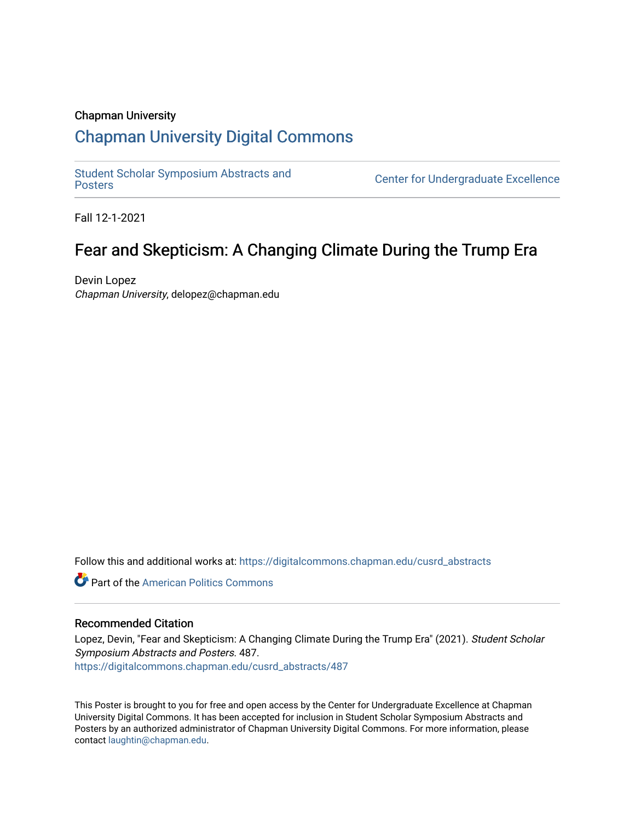### Chapman University

### [Chapman University Digital Commons](https://digitalcommons.chapman.edu/)

[Student Scholar Symposium Abstracts and](https://digitalcommons.chapman.edu/cusrd_abstracts) 

Center for Undergraduate Excellence

Fall 12-1-2021

### Fear and Skepticism: A Changing Climate During the Trump Era

Devin Lopez Chapman University, delopez@chapman.edu

Follow this and additional works at: [https://digitalcommons.chapman.edu/cusrd\\_abstracts](https://digitalcommons.chapman.edu/cusrd_abstracts?utm_source=digitalcommons.chapman.edu%2Fcusrd_abstracts%2F487&utm_medium=PDF&utm_campaign=PDFCoverPages) 

**Part of the American Politics Commons** 

### Recommended Citation

Lopez, Devin, "Fear and Skepticism: A Changing Climate During the Trump Era" (2021). Student Scholar Symposium Abstracts and Posters. 487. [https://digitalcommons.chapman.edu/cusrd\\_abstracts/487](https://digitalcommons.chapman.edu/cusrd_abstracts/487?utm_source=digitalcommons.chapman.edu%2Fcusrd_abstracts%2F487&utm_medium=PDF&utm_campaign=PDFCoverPages) 

This Poster is brought to you for free and open access by the Center for Undergraduate Excellence at Chapman University Digital Commons. It has been accepted for inclusion in Student Scholar Symposium Abstracts and Posters by an authorized administrator of Chapman University Digital Commons. For more information, please contact [laughtin@chapman.edu](mailto:laughtin@chapman.edu).